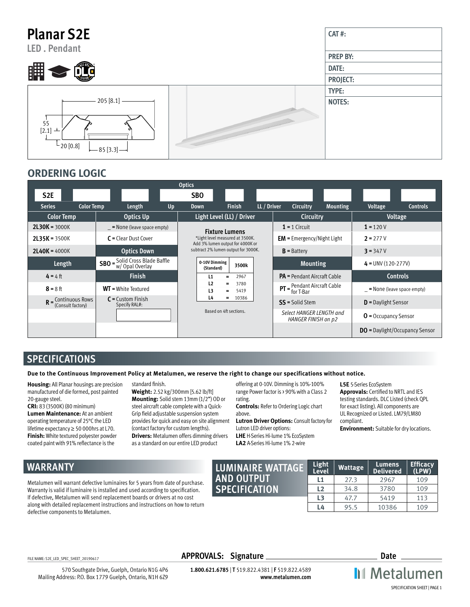| <b>Planar S2E</b><br><b>LED. Pendant</b>                                     | CAT#:           |
|------------------------------------------------------------------------------|-----------------|
|                                                                              | <b>PREP BY:</b> |
| 嚻                                                                            | DATE:           |
|                                                                              | PROJECT:        |
|                                                                              | TYPE:           |
| 205 [8.1]<br>$\frac{1}{55}$<br>[2.1] $\pm$<br>$-20[0.8]$<br>$-$ 85 [3.3] $-$ | <b>NOTES:</b>   |

#### **ORDERING LOGIC**

|                                                               |                                                                              |    | <b>Optics</b>                                                       |               |                                                 |                   |                              |                       |                                       |
|---------------------------------------------------------------|------------------------------------------------------------------------------|----|---------------------------------------------------------------------|---------------|-------------------------------------------------|-------------------|------------------------------|-----------------------|---------------------------------------|
| S <sub>2E</sub>                                               |                                                                              |    | <b>SBO</b>                                                          |               |                                                 |                   |                              |                       |                                       |
| <b>Series</b><br><b>Color Temp</b>                            | Length                                                                       | Up | <b>Down</b>                                                         | <b>Finish</b> | LL / Driver                                     | Circuitry         | <b>Mounting</b>              | Voltage               | <b>Controls</b>                       |
| <b>Color Temp</b>                                             | <b>Optics Up</b>                                                             |    | Light Level (LL) / Driver                                           |               |                                                 | Circuitry         |                              |                       | Voltage                               |
| $2L30K = 3000K$                                               | $=$ None (leave space empty)                                                 |    | <b>Fixture Lumens</b>                                               |               |                                                 | $1 = 1$ Circuit   |                              | $1 = 120V$            |                                       |
| $2L35K = 3500K$                                               | $C = Clear$ Dust Cover                                                       |    | *Light level measured at 3500K.<br>Add 3% lumen output for 4000K or |               | $EM$ = Emergency/Night Light                    |                   | $2 = 277V$                   |                       |                                       |
| $2$ <b>L40K</b> = 4000K                                       | <b>Optics Down</b>                                                           |    | subtract 2% lumen output for 3000K.                                 |               | $B =$ Battery                                   |                   | $3 = 347V$                   |                       |                                       |
| Length                                                        | <b>SBO</b> = $\frac{\text{Solid Cross Black Baffle}}{\text{w/Opal Overlay}}$ |    | 0-10V Dimming<br>3500k<br>(Standard)                                |               | <b>Mounting</b>                                 |                   | $4 = UNV (120-277V)$         |                       |                                       |
| $4 = 4$ ft                                                    | <b>Finish</b>                                                                |    | 2967<br>L1<br>$=$                                                   |               | <b>PA</b> = Pendant Aircraft Cable              |                   | <b>Controls</b>              |                       |                                       |
| $8 = 8$ ft                                                    | $WT = White Textured$                                                        |    | L <sub>2</sub><br>3780<br>=<br>L3<br>5419<br>$=$                    |               | $PT = \frac{Pendant Aircraft Cable}{for T-Bar}$ |                   | $=$ None (leave space empty) |                       |                                       |
| $R = \frac{\text{Continuous Rows}}{\text{(Consult factory)}}$ | $C =$ Custom Finish<br>Specify RAL#:                                         |    | L4<br>=                                                             | 10386         |                                                 | $SS =$ Solid Stem |                              | $D =$ Daylight Sensor |                                       |
|                                                               |                                                                              |    | Based on 4ft sections.                                              |               | Select HANGER LENGTH and<br>HANGER FINISH on p2 |                   | <b>O</b> = Occupancy Sensor  |                       |                                       |
|                                                               |                                                                              |    |                                                                     |               |                                                 |                   |                              |                       | <b>DO</b> = Daylight/Occupancy Sensor |

## **SPECIFICATIONS**

**Due to the Continuous Improvement Policy at Metalumen, we reserve the right to change our specifications without notice.** 

**Housing:** All Planar housings are precision manufactured of die formed, post painted 20-gauge steel.

**CRI:** 83 (3500K) (80 minimum) **Lumen Maintenance:** At an ambient operating temperature of 25°C the LED lifetime expectancy ≥ 50 000hrs at L70. **Finish:** White textured polyester powder coated paint with 91% reflectance is the

standard finish.

**Weight:** 2.52 kg/300mm [5.62 lb/ft] **Mounting:** Solid stem 13mm (1/2") OD or steel aircraft cable complete with a Quick-Grip field adjustable suspension system provides for quick and easy on site alignment (contact factory for custom lengths). **Drivers:** Metalumen offers dimming drivers as a standard on our entire LED product

offering at 0-10V. Dimming is 10%-100% range Power factor is > 90% with a Class 2 rating.

**Controls:** Refer to Ordering Logic chart above.

**Lutron Driver Options:** Consult factory for Lutron LED driver options: **LHE** H-Series Hi-lume 1% EcoSystem **LA2** A-Series Hi-lume 1% 2-wire

**L5E** 5-Series EcoSystem **Approvals:** Certified to NRTL and IES testing standards. DLC Listed (check QPL for exact listing). All components are UL Recognized or Listed. LM79/LM80 compliant.

**Environment:** Suitable for dry locations.

# **WARRANTY**

Metalumen will warrant defective luminaires for 5 years from date of purchase. Warranty is valid if luminaire is installed and used according to specification. If defective, Metalumen will send replacement boards or drivers at no cost along with detailed replacement instructions and instructions on how to return defective components to Metalumen.

| LUMINAIRE WATTAGE    | <b>Light</b><br>Level | Wattage | Lumens<br><b>Delivered</b> | <b>Efficacy</b><br>(LPW) |
|----------------------|-----------------------|---------|----------------------------|--------------------------|
| <b>AND OUTPUT</b>    | L1                    | 27.3    | 2967                       | 109                      |
| <b>SPECIFICATION</b> | L <sub>2</sub>        | 34.8    | 3780                       | 109                      |
|                      | L <sub>3</sub>        | 47.7    | 5419                       | 113                      |
|                      | L4                    | 95.5    | 10386                      | 109                      |

570 Southgate Drive, Guelph, Ontario N1G 4P6 Mailing Address: P.O. Box 1779 Guelph, Ontario, N1H 6Z9

FILE NAME: S2E\_LED\_SPEC\_SHEET\_20190617 **APPROVALS: Signature Date**

**1.800.621.6785** | **T** 519.822.4381 | **F** 519.822.4589 **www.metalumen.com**

**II** Metalumen SPECIFICATION SHEET | PAGE 1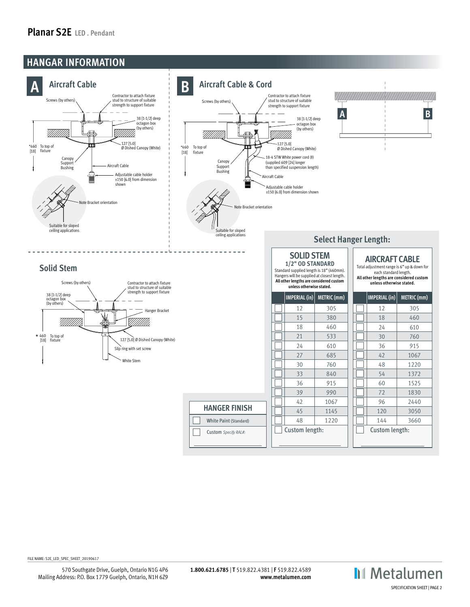### **Planar S2E LED . Pendant**



FILE NAME: S2E\_LED\_SPEC\_SHEET\_20190617